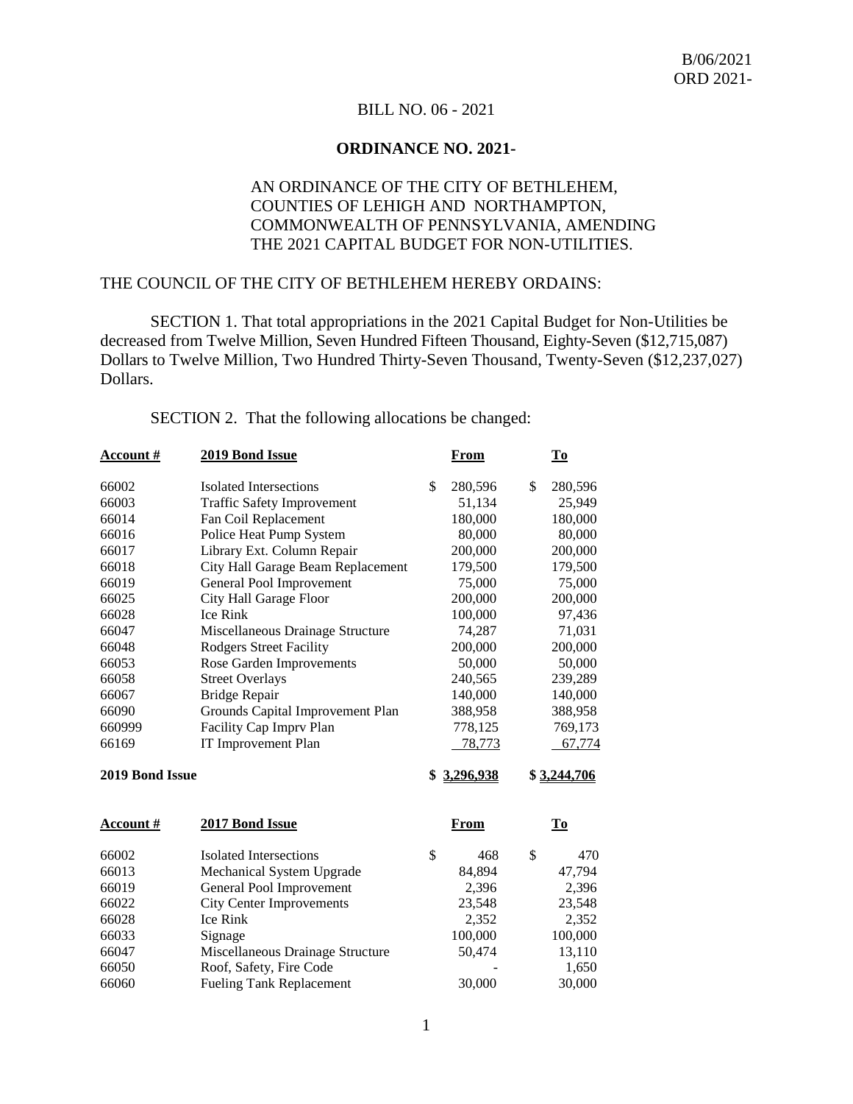## BILL NO. 06 - 2021

### **ORDINANCE NO. 2021-**

## AN ORDINANCE OF THE CITY OF BETHLEHEM, COUNTIES OF LEHIGH AND NORTHAMPTON, COMMONWEALTH OF PENNSYLVANIA, AMENDING THE 2021 CAPITAL BUDGET FOR NON-UTILITIES.

## THE COUNCIL OF THE CITY OF BETHLEHEM HEREBY ORDAINS:

SECTION 1. That total appropriations in the 2021 Capital Budget for Non-Utilities be decreased from Twelve Million, Seven Hundred Fifteen Thousand, Eighty-Seven (\$12,715,087) Dollars to Twelve Million, Two Hundred Thirty-Seven Thousand, Twenty-Seven (\$12,237,027) Dollars.

| <b>Account #</b> | 2019 Bond Issue                   | From            | $\underline{\mathbf{To}}$ |
|------------------|-----------------------------------|-----------------|---------------------------|
| 66002            | Isolated Intersections            | \$<br>280,596   | \$<br>280,596             |
| 66003            | <b>Traffic Safety Improvement</b> | 51,134          | 25,949                    |
| 66014            | Fan Coil Replacement              | 180,000         | 180,000                   |
| 66016            | Police Heat Pump System           | 80,000          | 80,000                    |
| 66017            | Library Ext. Column Repair        | 200,000         | 200,000                   |
| 66018            | City Hall Garage Beam Replacement | 179,500         | 179,500                   |
| 66019            | General Pool Improvement          | 75,000          | 75,000                    |
| 66025            | City Hall Garage Floor            | 200,000         | 200,000                   |
| 66028            | Ice Rink                          | 100,000         | 97,436                    |
| 66047            | Miscellaneous Drainage Structure  | 74,287          | 71,031                    |
| 66048            | <b>Rodgers Street Facility</b>    | 200,000         | 200,000                   |
| 66053            | Rose Garden Improvements          | 50,000          | 50,000                    |
| 66058            | <b>Street Overlays</b>            | 240,565         | 239,289                   |
| 66067            | <b>Bridge Repair</b>              | 140,000         | 140,000                   |
| 66090            | Grounds Capital Improvement Plan  | 388,958         | 388,958                   |
| 660999           | Facility Cap Imprv Plan           | 778,125         | 769,173                   |
| 66169            | IT Improvement Plan               | 78,773          | 67,774                    |
| 2019 Bond Issue  |                                   | \$<br>3,296,938 | \$3,244,706               |
| <b>Account</b> # | 2017 Bond Issue                   | <u>From</u>     | $\underline{\mathbf{To}}$ |
| 66002            | <b>Isolated Intersections</b>     | \$<br>468       | \$<br>470                 |
| 66013            | Mechanical System Upgrade         | 84,894          | 47,794                    |
| 66019            | General Pool Improvement          | 2,396           | 2,396                     |
| 66022            | <b>City Center Improvements</b>   | 23,548          | 23,548                    |
| 66028            | Ice Rink                          | 2,352           | 2,352                     |
| 66033            | Signage                           | 100,000         | 100,000                   |
| 66047            | Miscellaneous Drainage Structure  | 50,474          | 13,110                    |
| 66050            | Roof, Safety, Fire Code           |                 | 1,650                     |
| 66060            | <b>Fueling Tank Replacement</b>   | 30,000          | 30,000                    |

SECTION 2. That the following allocations be changed: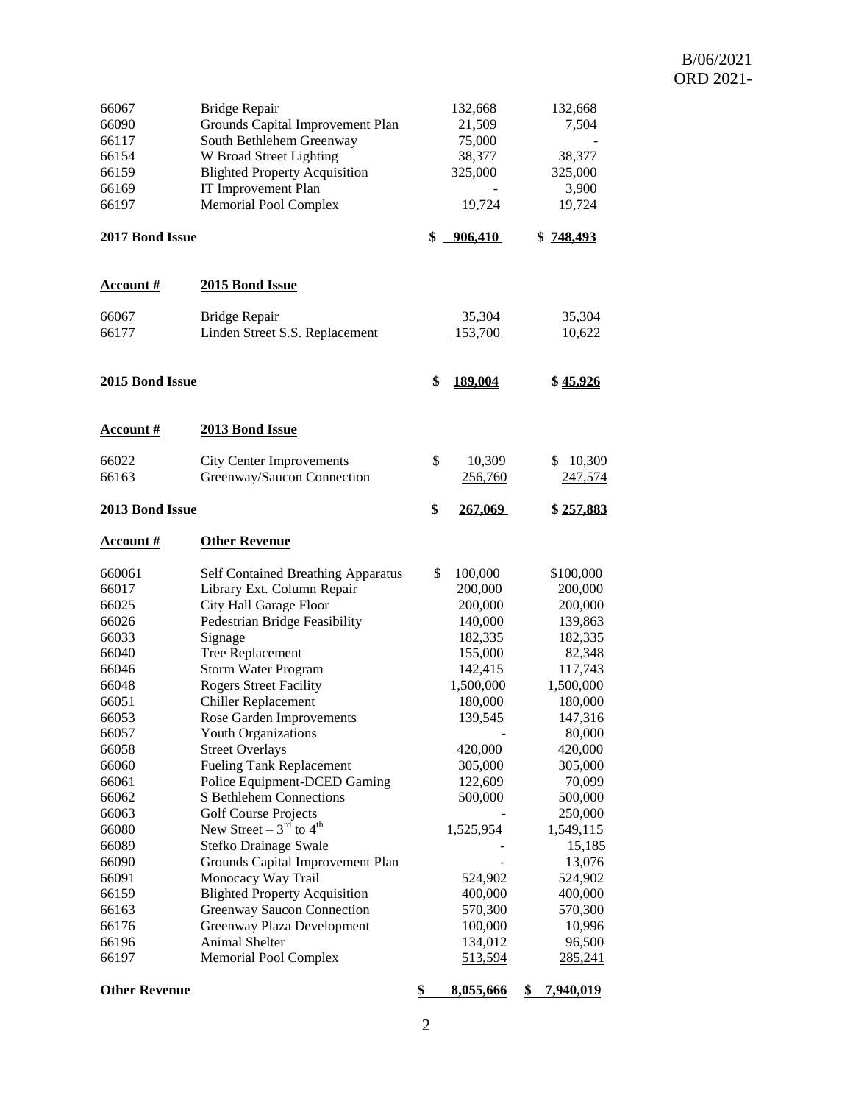## B/06/2021 ORD 2021-

| 66067<br>66090<br>66117<br>66154<br>66159<br>66169<br>66197                                                                                                                                                           | <b>Bridge Repair</b><br>Grounds Capital Improvement Plan<br>South Bethlehem Greenway<br>W Broad Street Lighting<br><b>Blighted Property Acquisition</b><br>IT Improvement Plan<br><b>Memorial Pool Complex</b>                                                                                                                                                                                                                                                                                                                                                                                                                                                                                                                              | 132,668<br>21,509<br>75,000<br>38,377<br>325,000<br>19,724                                                                                                                                                                         | 132,668<br>7,504<br>38,377<br>325,000<br>3,900<br>19,724                                                                                                                                                                                                            |
|-----------------------------------------------------------------------------------------------------------------------------------------------------------------------------------------------------------------------|---------------------------------------------------------------------------------------------------------------------------------------------------------------------------------------------------------------------------------------------------------------------------------------------------------------------------------------------------------------------------------------------------------------------------------------------------------------------------------------------------------------------------------------------------------------------------------------------------------------------------------------------------------------------------------------------------------------------------------------------|------------------------------------------------------------------------------------------------------------------------------------------------------------------------------------------------------------------------------------|---------------------------------------------------------------------------------------------------------------------------------------------------------------------------------------------------------------------------------------------------------------------|
| 2017 Bond Issue                                                                                                                                                                                                       |                                                                                                                                                                                                                                                                                                                                                                                                                                                                                                                                                                                                                                                                                                                                             | \$<br>906,410                                                                                                                                                                                                                      | 748,493<br>\$                                                                                                                                                                                                                                                       |
| <b>Account #</b>                                                                                                                                                                                                      | 2015 Bond Issue                                                                                                                                                                                                                                                                                                                                                                                                                                                                                                                                                                                                                                                                                                                             |                                                                                                                                                                                                                                    |                                                                                                                                                                                                                                                                     |
| 66067<br>66177                                                                                                                                                                                                        | Bridge Repair<br>Linden Street S.S. Replacement                                                                                                                                                                                                                                                                                                                                                                                                                                                                                                                                                                                                                                                                                             | 35,304<br>153,700                                                                                                                                                                                                                  | 35,304<br>10,622                                                                                                                                                                                                                                                    |
| 2015 Bond Issue                                                                                                                                                                                                       |                                                                                                                                                                                                                                                                                                                                                                                                                                                                                                                                                                                                                                                                                                                                             | \$<br>189,004                                                                                                                                                                                                                      | \$45.926                                                                                                                                                                                                                                                            |
| <b>Account</b> #                                                                                                                                                                                                      | 2013 Bond Issue                                                                                                                                                                                                                                                                                                                                                                                                                                                                                                                                                                                                                                                                                                                             |                                                                                                                                                                                                                                    |                                                                                                                                                                                                                                                                     |
| 66022<br>66163                                                                                                                                                                                                        | <b>City Center Improvements</b><br>Greenway/Saucon Connection                                                                                                                                                                                                                                                                                                                                                                                                                                                                                                                                                                                                                                                                               | \$<br>10,309<br>256,760                                                                                                                                                                                                            | 10,309<br>\$<br>247,574                                                                                                                                                                                                                                             |
| 2013 Bond Issue                                                                                                                                                                                                       |                                                                                                                                                                                                                                                                                                                                                                                                                                                                                                                                                                                                                                                                                                                                             | \$<br><u>267,069</u>                                                                                                                                                                                                               | \$257,883                                                                                                                                                                                                                                                           |
| <u>Account #</u>                                                                                                                                                                                                      | <b>Other Revenue</b>                                                                                                                                                                                                                                                                                                                                                                                                                                                                                                                                                                                                                                                                                                                        |                                                                                                                                                                                                                                    |                                                                                                                                                                                                                                                                     |
| 660061<br>66017<br>66025<br>66026<br>66033<br>66040<br>66046<br>66048<br>66051<br>66053<br>66057<br>66058<br>66060<br>66061<br>66062<br>66063<br>66080<br>66089<br>66090<br>66091<br>66159<br>66163<br>66176<br>66196 | <b>Self Contained Breathing Apparatus</b><br>Library Ext. Column Repair<br>City Hall Garage Floor<br>Pedestrian Bridge Feasibility<br>Signage<br>Tree Replacement<br><b>Storm Water Program</b><br><b>Rogers Street Facility</b><br><b>Chiller Replacement</b><br>Rose Garden Improvements<br><b>Youth Organizations</b><br><b>Street Overlays</b><br><b>Fueling Tank Replacement</b><br>Police Equipment-DCED Gaming<br>S Bethlehem Connections<br><b>Golf Course Projects</b><br>New Street – $3^{\text{rd}}$ to $4^{\text{th}}$<br>Stefko Drainage Swale<br>Grounds Capital Improvement Plan<br>Monocacy Way Trail<br><b>Blighted Property Acquisition</b><br>Greenway Saucon Connection<br>Greenway Plaza Development<br>Animal Shelter | \$<br>100,000<br>200,000<br>200,000<br>140,000<br>182,335<br>155,000<br>142,415<br>1,500,000<br>180,000<br>139,545<br>420,000<br>305,000<br>122,609<br>500,000<br>1,525,954<br>524,902<br>400,000<br>570,300<br>100,000<br>134,012 | \$100,000<br>200,000<br>200,000<br>139,863<br>182,335<br>82,348<br>117,743<br>1,500,000<br>180,000<br>147,316<br>80,000<br>420,000<br>305,000<br>70,099<br>500,000<br>250,000<br>1,549,115<br>15,185<br>13,076<br>524,902<br>400,000<br>570,300<br>10,996<br>96,500 |
| 66197<br><b>Other Revenue</b>                                                                                                                                                                                         | <b>Memorial Pool Complex</b>                                                                                                                                                                                                                                                                                                                                                                                                                                                                                                                                                                                                                                                                                                                | \$<br><u>513,594</u><br>8,055,666                                                                                                                                                                                                  | 285,241<br><u>7,940,019</u>                                                                                                                                                                                                                                         |
|                                                                                                                                                                                                                       |                                                                                                                                                                                                                                                                                                                                                                                                                                                                                                                                                                                                                                                                                                                                             |                                                                                                                                                                                                                                    | \$                                                                                                                                                                                                                                                                  |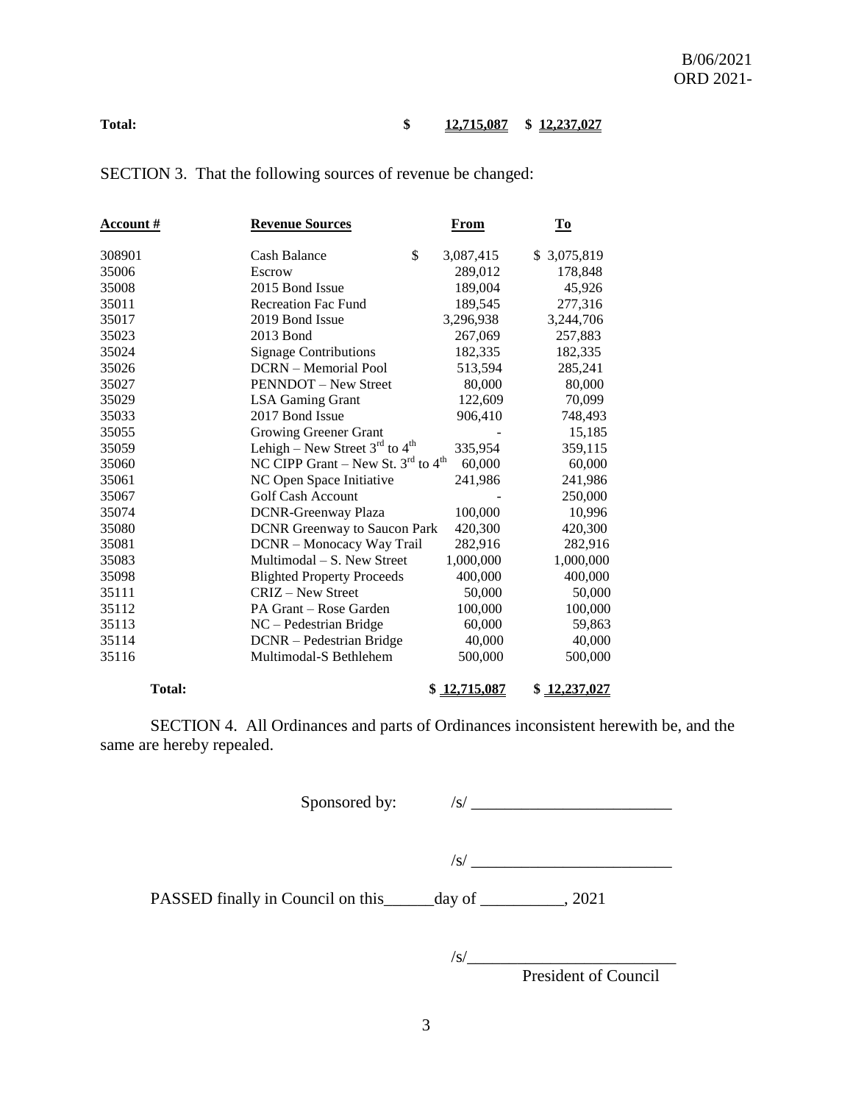#### Total: \$ 12,715,087 \$ 12,237,027

| <u>Account #</u> | <b>Revenue Sources</b><br>From                             |              | <u>To</u>    |  |
|------------------|------------------------------------------------------------|--------------|--------------|--|
| 308901           | \$<br>Cash Balance                                         | 3,087,415    | \$ 3,075,819 |  |
| 35006            | Escrow                                                     | 289,012      | 178,848      |  |
| 35008            | 2015 Bond Issue                                            | 189,004      | 45,926       |  |
| 35011            | <b>Recreation Fac Fund</b>                                 | 189,545      | 277,316      |  |
| 35017            | 2019 Bond Issue                                            | 3,296,938    | 3,244,706    |  |
| 35023            | 2013 Bond                                                  | 267,069      | 257,883      |  |
| 35024            | <b>Signage Contributions</b>                               | 182,335      | 182,335      |  |
| 35026            | <b>DCRN</b> – Memorial Pool                                | 513,594      | 285,241      |  |
| 35027            | <b>PENNDOT</b> – New Street                                | 80,000       | 80,000       |  |
| 35029            | <b>LSA Gaming Grant</b>                                    | 122,609      | 70,099       |  |
| 35033            | 2017 Bond Issue                                            | 906,410      | 748,493      |  |
| 35055            | <b>Growing Greener Grant</b>                               |              | 15,185       |  |
| 35059            | Lehigh – New Street $3rd$ to $4th$                         | 335,954      | 359,115      |  |
| 35060            | NC CIPP Grant – New St. $3^{\text{rd}}$ to $4^{\text{th}}$ | 60,000       | 60,000       |  |
| 35061            | NC Open Space Initiative                                   | 241,986      | 241,986      |  |
| 35067            | <b>Golf Cash Account</b>                                   |              | 250,000      |  |
| 35074            | <b>DCNR-Greenway Plaza</b>                                 | 100,000      | 10,996       |  |
| 35080            | <b>DCNR</b> Greenway to Saucon Park                        | 420,300      | 420,300      |  |
| 35081            | DCNR - Monocacy Way Trail                                  | 282,916      | 282,916      |  |
| 35083            | Multimodal – S. New Street                                 | 1,000,000    | 1,000,000    |  |
| 35098            | <b>Blighted Property Proceeds</b>                          | 400,000      | 400,000      |  |
| 35111            | CRIZ – New Street                                          | 50,000       | 50,000       |  |
| 35112            | PA Grant – Rose Garden                                     | 100,000      | 100,000      |  |
| 35113            | $NC - Pedestrian Bridge$                                   | 60,000       | 59,863       |  |
| 35114            | DCNR - Pedestrian Bridge                                   | 40,000       | 40,000       |  |
| 35116            | Multimodal-S Bethlehem                                     | 500,000      | 500,000      |  |
| <b>Total:</b>    |                                                            | \$12,715,087 | \$12,237,027 |  |

SECTION 3. That the following sources of revenue be changed:

SECTION 4. All Ordinances and parts of Ordinances inconsistent herewith be, and the same are hereby repealed.

Sponsored by: /s/ \_\_\_\_\_\_\_\_\_\_\_\_\_\_\_\_\_\_\_\_\_\_\_\_

 $\frac{1}{s}$ 

PASSED finally in Council on this day of \_\_\_\_\_\_\_\_, 2021

/s/\_\_\_\_\_\_\_\_\_\_\_\_\_\_\_\_\_\_\_\_\_\_\_\_\_

President of Council